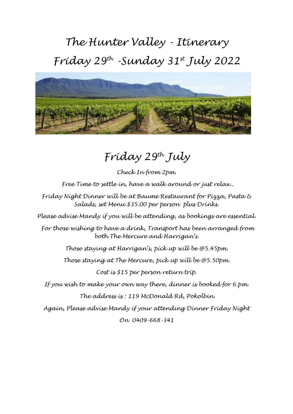## *The Hunter Valley - Itinerary Friday 29th -Sunday 31st July 2022*



## *Friday 29th July*

*Check In from 2pm. Free Time to settle in, have a walk around or just relax..*

*Friday Night Dinner will be at Baume Restaurant for Pizza, Pasta & Salads, set Menu \$35.00 per person plus Drinks.*

*Please advise Mandy if you will be attending, as bookings are essential.*

*For those wishing to have a drink, Transport has been arranged from both The Mercure and Harrigan's.*

*Those staying at Harrigan's, pick up will be @5.45pm.*

*Those staying at The Mercure, pick up will be @5.50pm.*

*Cost is \$15 per person return trip.*

*If you wish to make your own way there, dinner is booked for 6.pm. The address is : 119 McDonald Rd, Pokolbin.*

*Again, Please advise Mandy if your attending Dinner Friday Night*

*On 0409-668-341*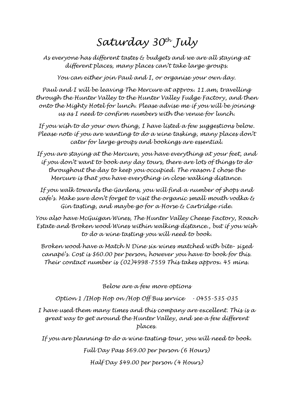## *Saturday 30th July*

*As everyone has different tastes & budgets and we are all staying at different places, many places can't take large groups.*

*You can either join Paul and I, or organise your own day.*

*Paul and I will be leaving The Mercure at approx. 11.am, travelling through the Hunter Valley to the Hunter Valley Fudge Factory, and then onto the Mighty Hotel for lunch. Please advise me if you will be joining us as I need to confirm numbers with the venue for lunch.*

*If you wish to do your own thing, I have listed a few suggestions below. Please note if you are wanting to do a wine tasking, many places don't cater for large groups and bookings are essential.*

*If you are staying at the Mercure, you have everything at your feet, and if you don't want to book any day tours, there are lots of things to do throughout the day to keep you occupied. The reason I chose the Mercure is that you have everything in close walking distance.* 

*If you walk towards the Gardens, you will find a number of shops and cafe's. Make sure don't forget to visit the organic small mouth vodka & Gin tasting, and maybe go for a Horse & Cartridge ride.*

*You also have McGuigan Wines, The Hunter Valley Cheese Factory, Roach Estate and Broken wood Wines within walking distance., but if you wish to do a wine tasting you will need to book.*

*Broken wood have a Match N Dine six wines matched with bite- sized canapé's. Cost is \$60.00 per person, however you have to book for this. Their contact number is (02)4998-7559 This takes approx. 45 mins.*

*Below are a few more options*

*Option 1 /IHop Hop on /Hop Off Bus service - 0455-535-035*

*I have used them many times and this company are excellent. This is a great way to get around the Hunter Valley, and see a few different places.*

*If you are planning to do a wine tasting tour, you will need to book.*

*Full Day Pass \$69.00 per person (6 Hours) Half Day \$49.00 per person (4 Hours)*